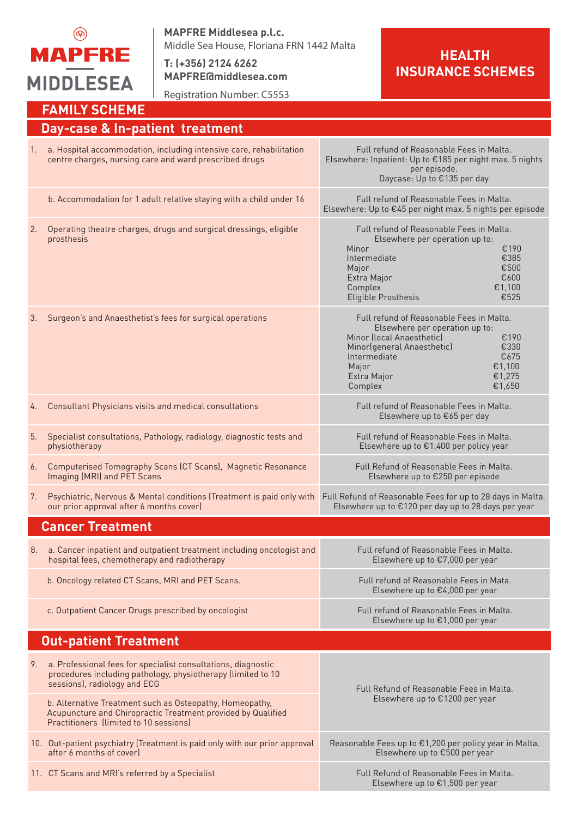

**MAPFRE Middlesea p.l.c.** Middle Sea House, Floriana FRN 1442 Malta

**T: (+356) 2124 6262 MAPFRE@middlesea.com**

Registration Number: C5553

## **HEALTH INSURANCE SCHEMES**

|                                 | <b>FAMILY SCHEME</b>                                                                                                                                                                                                      |                                                                                                                                                                                                                                                |  |
|---------------------------------|---------------------------------------------------------------------------------------------------------------------------------------------------------------------------------------------------------------------------|------------------------------------------------------------------------------------------------------------------------------------------------------------------------------------------------------------------------------------------------|--|
| Day-case & In-patient treatment |                                                                                                                                                                                                                           |                                                                                                                                                                                                                                                |  |
| 1.                              | a. Hospital accommodation, including intensive care, rehabilitation<br>centre charges, nursing care and ward prescribed drugs                                                                                             | Full refund of Reasonable Fees in Malta.<br>Elsewhere: Inpatient: Up to €185 per night max. 5 nights<br>per episode.<br>Daycase: Up to €135 per day                                                                                            |  |
|                                 | b. Accommodation for 1 adult relative staying with a child under 16                                                                                                                                                       | Full refund of Reasonable Fees in Malta.<br>Elsewhere: Up to €45 per night max. 5 nights per episode                                                                                                                                           |  |
| 2.                              | Operating theatre charges, drugs and surgical dressings, eligible<br>prosthesis                                                                                                                                           | Full refund of Reasonable Fees in Malta.<br>Elsewhere per operation up to:<br>Minor<br>€190<br>Intermediate<br>€385<br>€500<br>Major<br>€600<br>Extra Major<br>€1,100<br>Complex<br>Eligible Prosthesis<br>€525                                |  |
| 3.                              | Surgeon's and Anaesthetist's fees for surgical operations                                                                                                                                                                 | Full refund of Reasonable Fees in Malta.<br>Elsewhere per operation up to:<br>Minor (local Anaesthetic)<br>€190<br>Minor(general Anaesthetic)<br>€330<br>Intermediate<br>€675<br>€1,100<br>Major<br>€1,275<br>Extra Major<br>€1,650<br>Complex |  |
| 4.                              | Consultant Physicians visits and medical consultations                                                                                                                                                                    | Full refund of Reasonable Fees in Malta.<br>Elsewhere up to €65 per day                                                                                                                                                                        |  |
| 5.                              | Specialist consultations, Pathology, radiology, diagnostic tests and<br>physiotherapy                                                                                                                                     | Full refund of Reasonable Fees in Malta.<br>Elsewhere up to €1,400 per policy year                                                                                                                                                             |  |
| 6.                              | Computerised Tomography Scans (CT Scans), Magnetic Resonance<br>Imaging (MRI) and PET Scans                                                                                                                               | Full Refund of Reasonable Fees in Malta.<br>Elsewhere up to €250 per episode                                                                                                                                                                   |  |
| 7.                              | Psychiatric, Nervous & Mental conditions (Treatment is paid only with<br>our prior approval after 6 months cover)                                                                                                         | Full Refund of Reasonable Fees for up to 28 days in Malta.<br>Elsewhere up to €120 per day up to 28 days per year                                                                                                                              |  |
|                                 | <b>Cancer Treatment</b>                                                                                                                                                                                                   |                                                                                                                                                                                                                                                |  |
|                                 | 8. a. Cancer inpatient and outpatient treatment including oncologist and<br>hospital fees, chemotherapy and radiotherapy                                                                                                  | Full refund of Reasonable Fees in Malta.<br>Elsewhere up to €7,000 per year                                                                                                                                                                    |  |
|                                 | b. Oncology related CT Scans, MRI and PET Scans.                                                                                                                                                                          | Full refund of Reasonable Fees in Mata.<br>Elsewhere up to €4,000 per year                                                                                                                                                                     |  |
|                                 | c. Outpatient Cancer Drugs prescribed by oncologist                                                                                                                                                                       | Full refund of Reasonable Fees in Malta.<br>Elsewhere up to €1,000 per year                                                                                                                                                                    |  |
|                                 | <b>Out-patient Treatment</b>                                                                                                                                                                                              |                                                                                                                                                                                                                                                |  |
| 9.                              | a. Professional fees for specialist consultations, diagnostic<br>procedures including pathology, physiotherapy (limited to 10<br>sessions), radiology and ECG<br>b. Alternative Treatment such as Osteopathy, Homeopathy, | Full Refund of Reasonable Fees in Malta.<br>Elsewhere up to €1200 per year                                                                                                                                                                     |  |
|                                 | Acupuncture and Chiropractic Treatment provided by Qualified<br>Practitioners (limited to 10 sessions)                                                                                                                    |                                                                                                                                                                                                                                                |  |
|                                 | 10. Out-patient psychiatry (Treatment is paid only with our prior approval<br>after 6 months of cover)                                                                                                                    | Reasonable Fees up to €1,200 per policy year in Malta.<br>Elsewhere up to €500 per year                                                                                                                                                        |  |
|                                 | 11. CT Scans and MRI's referred by a Specialist                                                                                                                                                                           | Full Refund of Reasonable Fees in Malta.<br>Elsewhere up to €1,500 per year                                                                                                                                                                    |  |